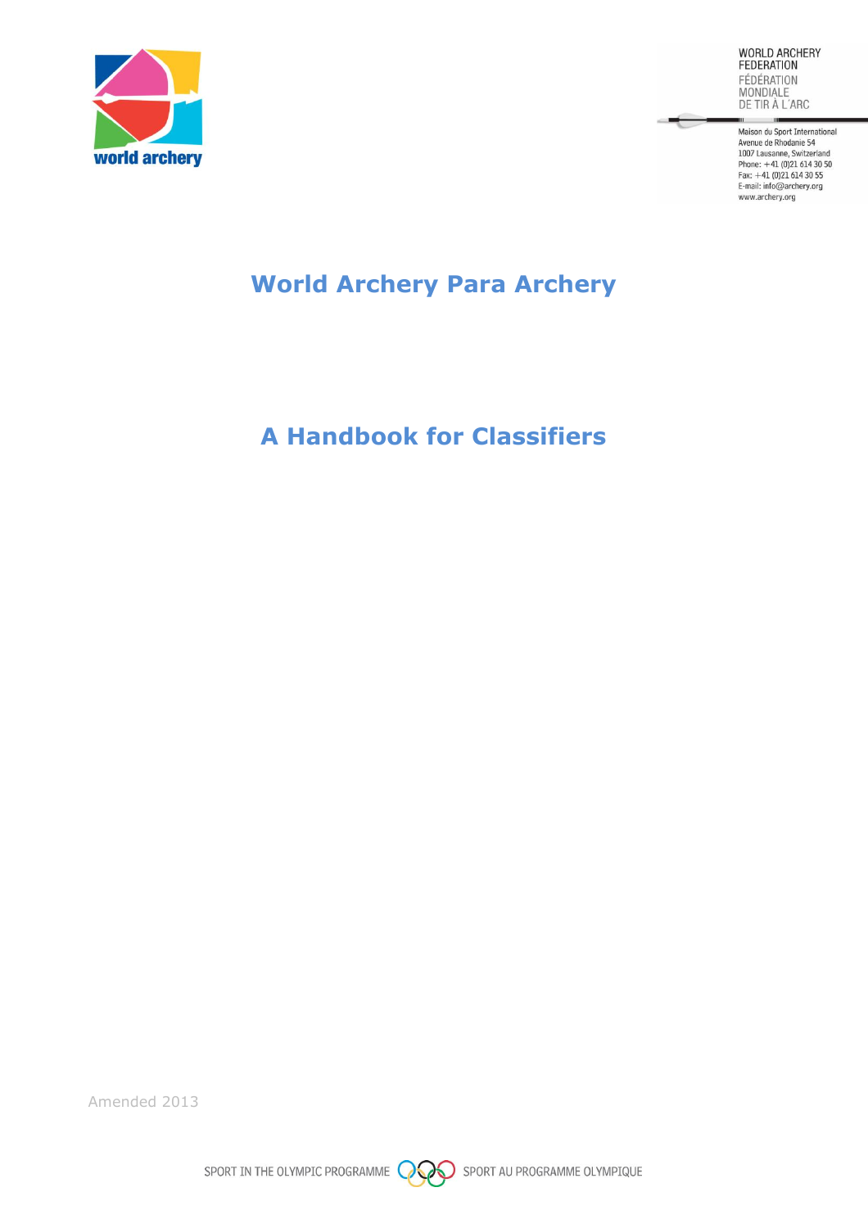

WORLD ARCHERY **FEDERATION** FÉDÉRATION MONDIALE<br>MONDIALE<br>DE TIR À L'ARC

 $\overline{\phantom{a}}$ 

Maison du Sport International Avenue de Rhodanie 54<br>1007 Lausanne, Switzerland Phone: +41 (0)21 614 30 50<br>Fax: +41 (0)21 614 30 55<br>E-mail: info@archery.org www.archery.org

# **World Archery Para Archery**

# **A Handbook for Classifiers**

Amended 2013

SPORT IN THE OLYMPIC PROGRAMME **OPPOSE** SPORT AU PROGRAMME OLYMPIQUE

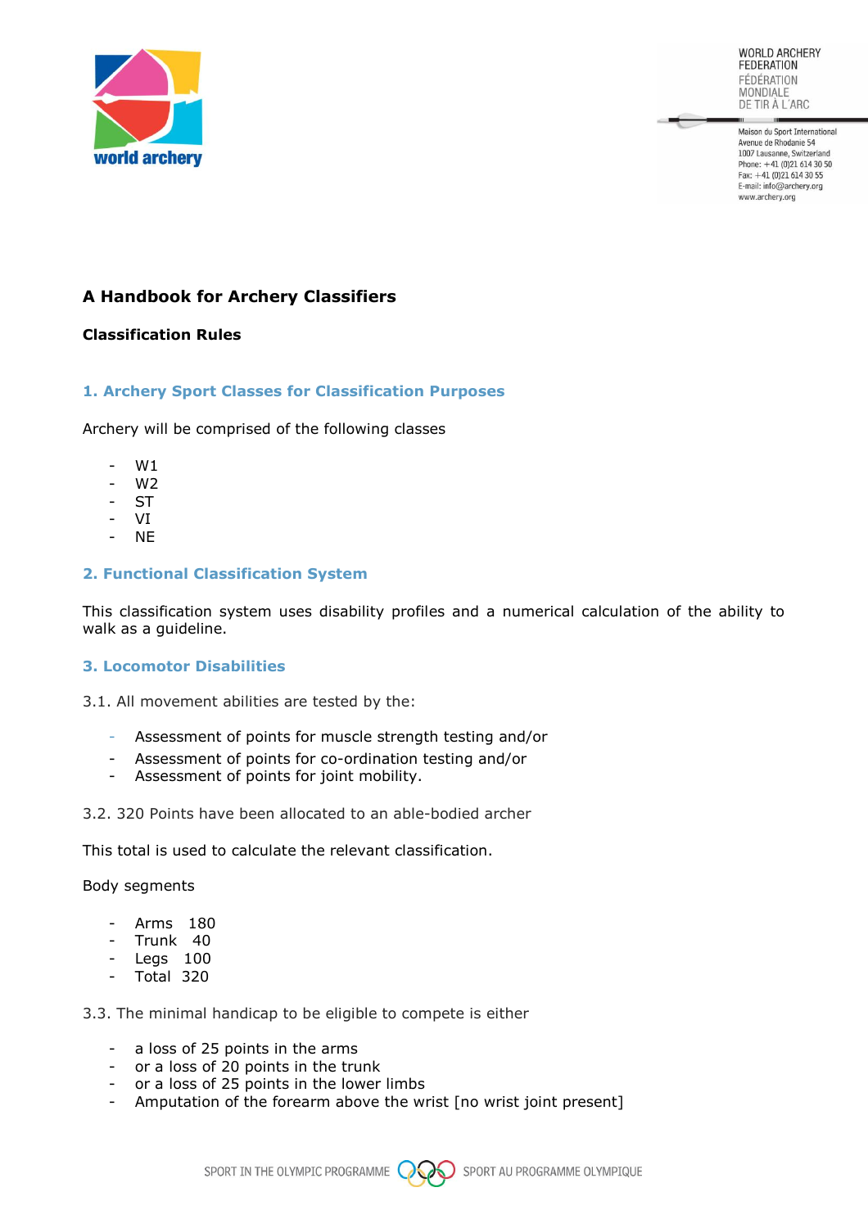

Maison du Sport International Avenue de Rhodanie 54<br>1007 Lausanne, Switzerland Phone:  $+41$  (0)21 614 30 50 Fax: +41 (0)21 614 30 55 E-mail: info@archery.org www.archery.org

# **A Handbook for Archery Classifiers**

# **Classification Rules**

#### **1. Archery Sport Classes for Classification Purposes**

Archery will be comprised of the following classes

- W1
- W2
- ST<sub>1</sub>
- VI
- NE

#### **2. Functional Classification System**

This classification system uses disability profiles and a numerical calculation of the ability to walk as a guideline.

#### **3. Locomotor Disabilities**

3.1. All movement abilities are tested by the:

- Assessment of points for muscle strength testing and/or
- Assessment of points for co-ordination testing and/or
- Assessment of points for joint mobility.
- 3.2. 320 Points have been allocated to an able-bodied archer

This total is used to calculate the relevant classification.

#### Body segments

- Arms 180
- Trunk 40
- Legs 100
- Total 320

3.3. The minimal handicap to be eligible to compete is either

- a loss of 25 points in the arms
- or a loss of 20 points in the trunk
- or a loss of 25 points in the lower limbs
- Amputation of the forearm above the wrist [no wrist joint present]

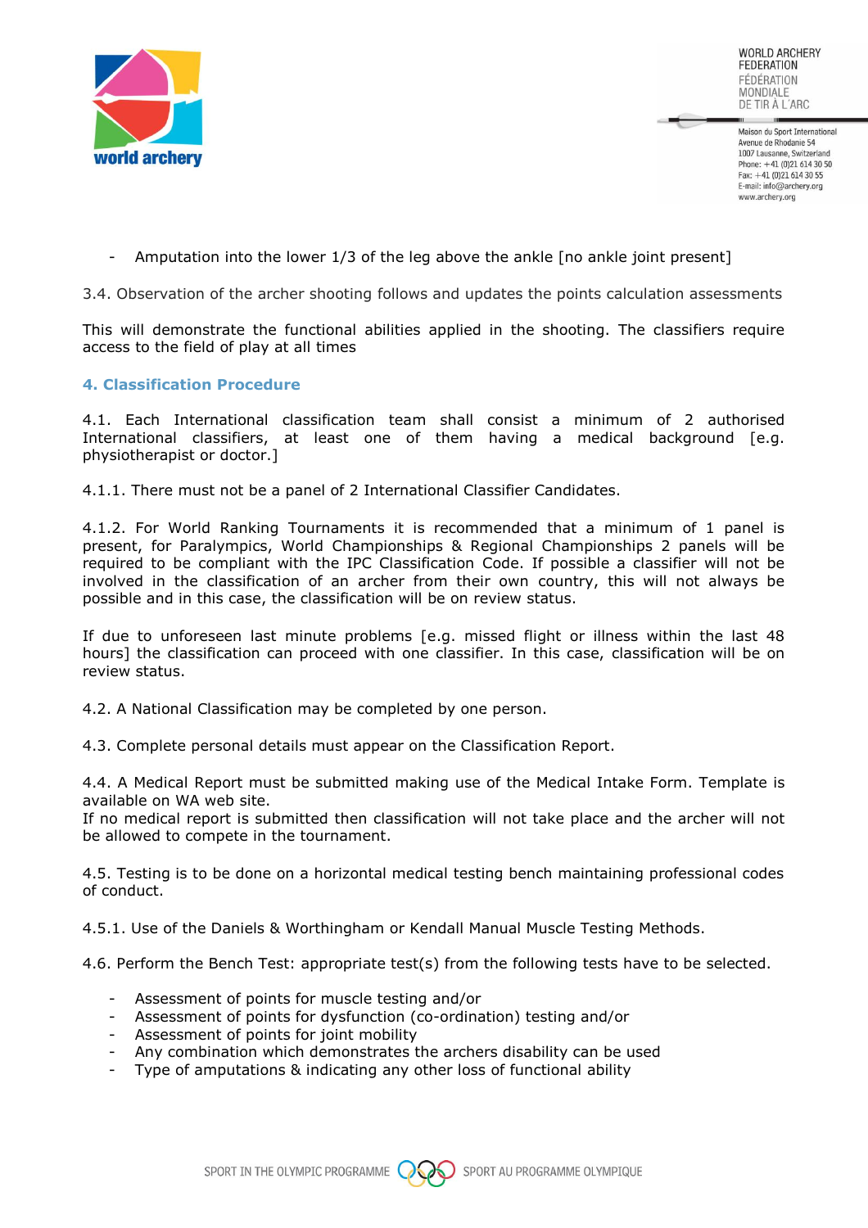

Maison du Sport International Avenue de Rhodanie 54 1007 Lausanne, Switzerland Phone: +41 (0)21 614 30 50 Fax: +41 (0)21 614 30 55 E-mail: info@archery.org www.archery.org

Amputation into the lower  $1/3$  of the leg above the ankle [no ankle joint present]

3.4. Observation of the archer shooting follows and updates the points calculation assessments

This will demonstrate the functional abilities applied in the shooting. The classifiers require access to the field of play at all times

#### **4. Classification Procedure**

4.1. Each International classification team shall consist a minimum of 2 authorised International classifiers, at least one of them having a medical background [e.g. physiotherapist or doctor.]

4.1.1. There must not be a panel of 2 International Classifier Candidates.

4.1.2. For World Ranking Tournaments it is recommended that a minimum of 1 panel is present, for Paralympics, World Championships & Regional Championships 2 panels will be required to be compliant with the IPC Classification Code. If possible a classifier will not be involved in the classification of an archer from their own country, this will not always be possible and in this case, the classification will be on review status.

If due to unforeseen last minute problems [e.g. missed flight or illness within the last 48 hours] the classification can proceed with one classifier. In this case, classification will be on review status.

4.2. A National Classification may be completed by one person.

4.3. Complete personal details must appear on the Classification Report.

4.4. A Medical Report must be submitted making use of the Medical Intake Form. Template is available on WA web site.

If no medical report is submitted then classification will not take place and the archer will not be allowed to compete in the tournament.

4.5. Testing is to be done on a horizontal medical testing bench maintaining professional codes of conduct.

4.5.1. Use of the Daniels & Worthingham or Kendall Manual Muscle Testing Methods.

4.6. Perform the Bench Test: appropriate test(s) from the following tests have to be selected.

- Assessment of points for muscle testing and/or
- Assessment of points for dysfunction (co-ordination) testing and/or
- Assessment of points for joint mobility
- Any combination which demonstrates the archers disability can be used
- Type of amputations & indicating any other loss of functional ability

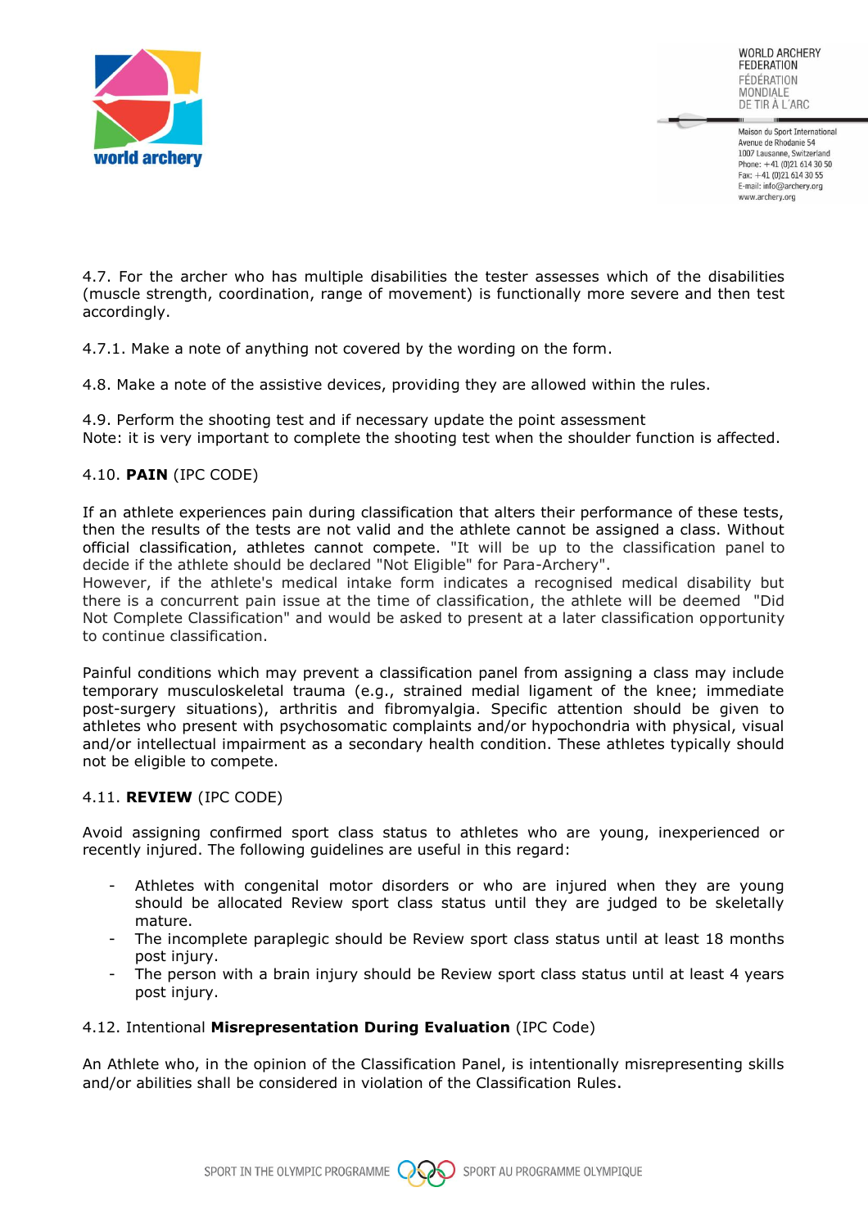

Maison du Sport International Avenue de Rhodanie 54 1007 Lausanne, Switzerland Phone: +41 (0)21 614 30 50 Fax: +41 (0)21 614 30 55 E-mail: info@archery.org www.archery.org

4.7. For the archer who has multiple disabilities the tester assesses which of the disabilities (muscle strength, coordination, range of movement) is functionally more severe and then test accordingly.

4.7.1. Make a note of anything not covered by the wording on the form.

4.8. Make a note of the assistive devices, providing they are allowed within the rules.

4.9. Perform the shooting test and if necessary update the point assessment Note: it is very important to complete the shooting test when the shoulder function is affected.

# 4.10. **PAIN** (IPC CODE)

If an athlete experiences pain during classification that alters their performance of these tests, then the results of the tests are not valid and the athlete cannot be assigned a class. Without official classification, athletes cannot compete. "It will be up to the classification panel to decide if the athlete should be declared "Not Eligible" for Para-Archery".

However, if the athlete's medical intake form indicates a recognised medical disability but there is a concurrent pain issue at the time of classification, the athlete will be deemed "Did Not Complete Classification" and would be asked to present at a later classification opportunity to continue classification.

Painful conditions which may prevent a classification panel from assigning a class may include temporary musculoskeletal trauma (e.g., strained medial ligament of the knee; immediate post-surgery situations), arthritis and fibromyalgia. Specific attention should be given to athletes who present with psychosomatic complaints and/or hypochondria with physical, visual and/or intellectual impairment as a secondary health condition. These athletes typically should not be eligible to compete.

#### 4.11. **REVIEW** (IPC CODE)

Avoid assigning confirmed sport class status to athletes who are young, inexperienced or recently injured. The following guidelines are useful in this regard:

- Athletes with congenital motor disorders or who are injured when they are young should be allocated Review sport class status until they are judged to be skeletally mature.
- The incomplete paraplegic should be Review sport class status until at least 18 months post injury.
- The person with a brain injury should be Review sport class status until at least 4 years post injury.

# 4.12. Intentional **Misrepresentation During Evaluation** (IPC Code)

An Athlete who, in the opinion of the Classification Panel, is intentionally misrepresenting skills and/or abilities shall be considered in violation of the Classification Rules.

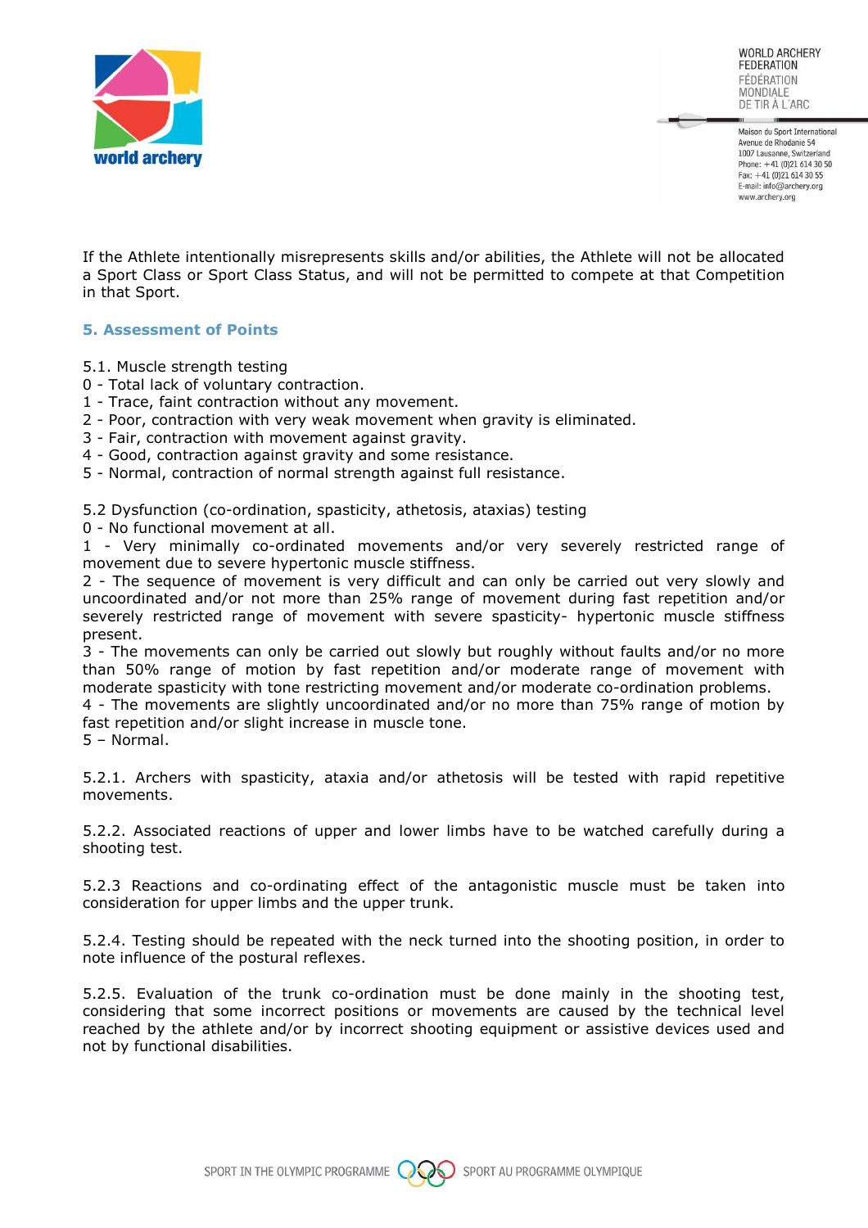

Maison du Sport International Avenue de Rhodanie 54 1007 Lausanne, Switzerland Phone: +41 (0)21 614 30 50 Fax: +41 (0)21 614 30 55 E-mail: info@archery.org www.archery.org

If the Athlete intentionally misrepresents skills and/or abilities, the Athlete will not be allocated a Sport Class or Sport Class Status, and will not be permitted to compete at that Competition in that Sport.

#### **5. Assessment of Points**

- 5.1. Muscle strength testing
- 0 Total lack of voluntary contraction.
- 1 Trace, faint contraction without any movement.
- 2 Poor, contraction with very weak movement when gravity is eliminated.
- 3 Fair, contraction with movement against gravity.
- 4 Good, contraction against gravity and some resistance.
- 5 Normal, contraction of normal strength against full resistance.

5.2 Dysfunction (co-ordination, spasticity, athetosis, ataxias) testing

0 - No functional movement at all.

1 - Very minimally co-ordinated movements and/or very severely restricted range of movement due to severe hypertonic muscle stiffness.

2 - The sequence of movement is very difficult and can only be carried out very slowly and uncoordinated and/or not more than 25% range of movement during fast repetition and/or severely restricted range of movement with severe spasticity- hypertonic muscle stiffness present.

3 - The movements can only be carried out slowly but roughly without faults and/or no more than 50% range of motion by fast repetition and/or moderate range of movement with moderate spasticity with tone restricting movement and/or moderate co-ordination problems.

4 - The movements are slightly uncoordinated and/or no more than 75% range of motion by fast repetition and/or slight increase in muscle tone.

5 – Normal.

5.2.1. Archers with spasticity, ataxia and/or athetosis will be tested with rapid repetitive movements.

5.2.2. Associated reactions of upper and lower limbs have to be watched carefully during a shooting test.

5.2.3 Reactions and co-ordinating effect of the antagonistic muscle must be taken into consideration for upper limbs and the upper trunk.

5.2.4. Testing should be repeated with the neck turned into the shooting position, in order to note influence of the postural reflexes.

5.2.5. Evaluation of the trunk co-ordination must be done mainly in the shooting test, considering that some incorrect positions or movements are caused by the technical level reached by the athlete and/or by incorrect shooting equipment or assistive devices used and not by functional disabilities.

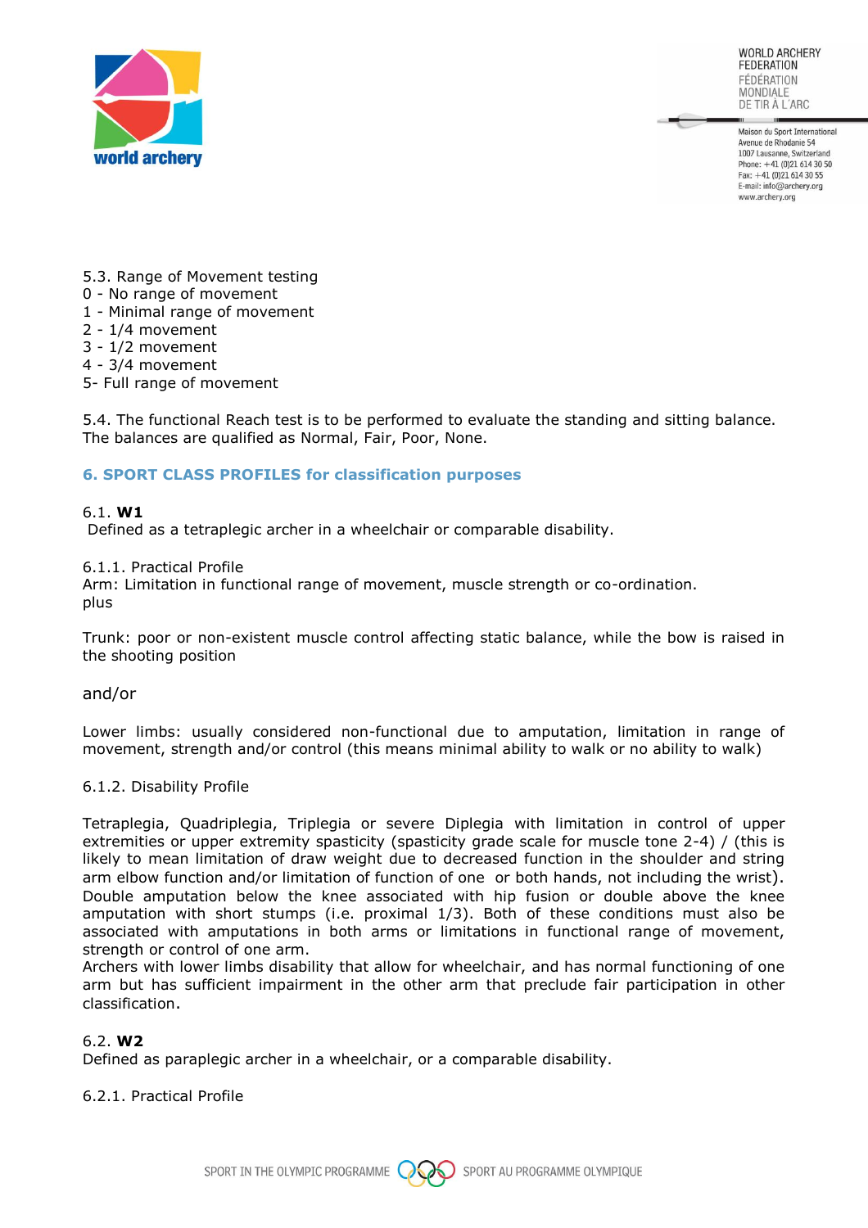

Maison du Sport International Avenue de Rhodanie 54 1007 Lausanne, Switzerland Phone: +41 (0)21 614 30 50 Fax: +41 (0)21 614 30 55 E-mail: info@archery.org www.archery.org

- 5.3. Range of Movement testing
- 0 No range of movement
- 1 Minimal range of movement
- 2 1/4 movement
- 3 1/2 movement
- 4 3/4 movement
- 5- Full range of movement

5.4. The functional Reach test is to be performed to evaluate the standing and sitting balance. The balances are qualified as Normal, Fair, Poor, None.

#### **6. SPORT CLASS PROFILES for classification purposes**

#### 6.1. **W1**

Defined as a tetraplegic archer in a wheelchair or comparable disability.

#### 6.1.1. Practical Profile

Arm: Limitation in functional range of movement, muscle strength or co-ordination. plus

Trunk: poor or non-existent muscle control affecting static balance, while the bow is raised in the shooting position

and/or

Lower limbs: usually considered non-functional due to amputation, limitation in range of movement, strength and/or control (this means minimal ability to walk or no ability to walk)

#### 6.1.2. Disability Profile

Tetraplegia, Quadriplegia, Triplegia or severe Diplegia with limitation in control of upper extremities or upper extremity spasticity (spasticity grade scale for muscle tone 2-4) / (this is likely to mean limitation of draw weight due to decreased function in the shoulder and string arm elbow function and/or limitation of function of one or both hands, not including the wrist). Double amputation below the knee associated with hip fusion or double above the knee amputation with short stumps (i.e. proximal 1/3). Both of these conditions must also be associated with amputations in both arms or limitations in functional range of movement, strength or control of one arm.

Archers with lower limbs disability that allow for wheelchair, and has normal functioning of one arm but has sufficient impairment in the other arm that preclude fair participation in other classification.

#### 6.2. **W2**

Defined as paraplegic archer in a wheelchair, or a comparable disability.

#### 6.2.1. Practical Profile

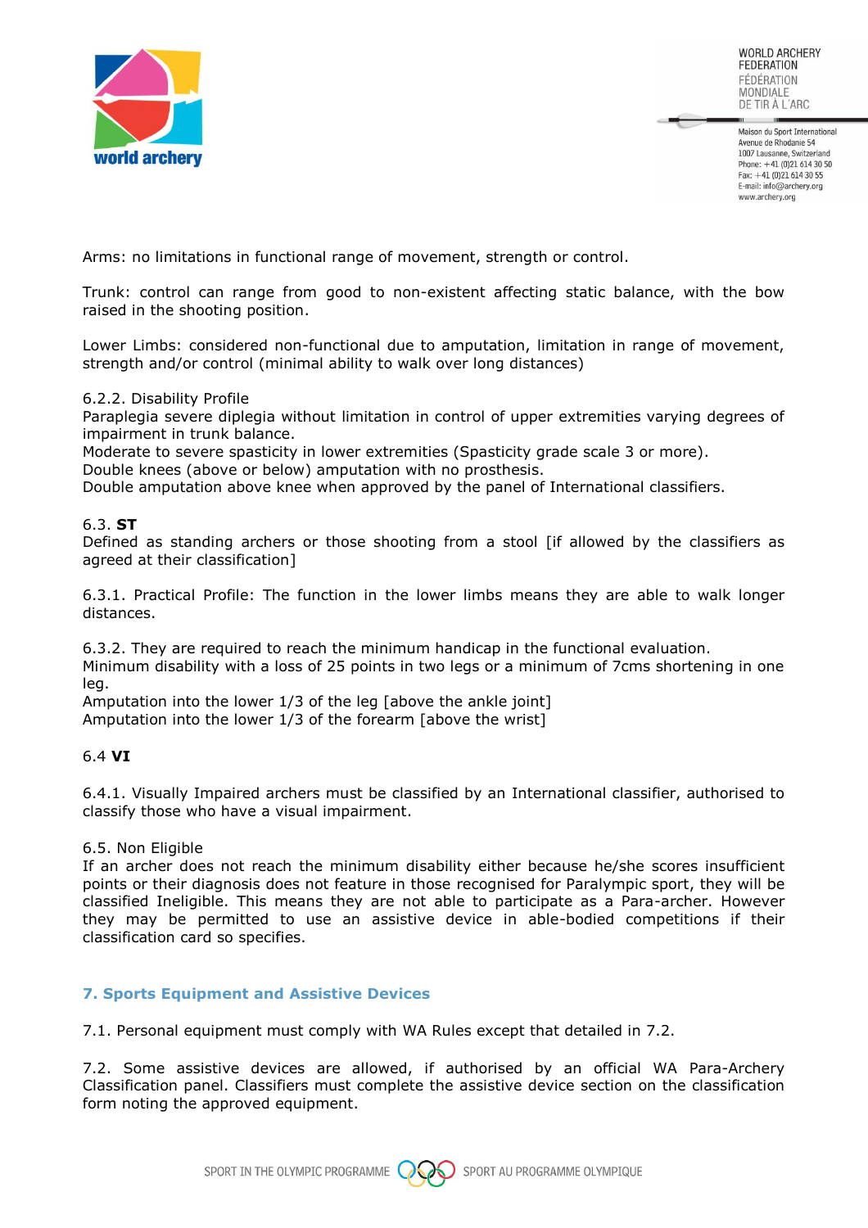

Maison du Sport International Avenue de Rhodanie 54 1007 Lausanne, Switzerland Phone: +41 (0)21 614 30 50 Fax: +41 (0)21 614 30 55 E-mail: info@archery.org www.archery.org

Arms: no limitations in functional range of movement, strength or control.

Trunk: control can range from good to non-existent affecting static balance, with the bow raised in the shooting position.

Lower Limbs: considered non-functional due to amputation, limitation in range of movement, strength and/or control (minimal ability to walk over long distances)

#### 6.2.2. Disability Profile

Paraplegia severe diplegia without limitation in control of upper extremities varying degrees of impairment in trunk balance.

Moderate to severe spasticity in lower extremities (Spasticity grade scale 3 or more). Double knees (above or below) amputation with no prosthesis.

Double amputation above knee when approved by the panel of International classifiers.

#### 6.3. **ST**

Defined as standing archers or those shooting from a stool [if allowed by the classifiers as agreed at their classification]

6.3.1. Practical Profile: The function in the lower limbs means they are able to walk longer distances.

6.3.2. They are required to reach the minimum handicap in the functional evaluation.

Minimum disability with a loss of 25 points in two legs or a minimum of 7cms shortening in one leg.

Amputation into the lower 1/3 of the leg [above the ankle joint]

Amputation into the lower 1/3 of the forearm [above the wrist]

#### 6.4 **VI**

6.4.1. Visually Impaired archers must be classified by an International classifier, authorised to classify those who have a visual impairment.

#### 6.5. Non Eligible

If an archer does not reach the minimum disability either because he/she scores insufficient points or their diagnosis does not feature in those recognised for Paralympic sport, they will be classified Ineligible. This means they are not able to participate as a Para-archer. However they may be permitted to use an assistive device in able-bodied competitions if their classification card so specifies.

# **7. Sports Equipment and Assistive Devices**

7.1. Personal equipment must comply with WA Rules except that detailed in 7.2.

7.2. Some assistive devices are allowed, if authorised by an official WA Para-Archery Classification panel. Classifiers must complete the assistive device section on the classification form noting the approved equipment.

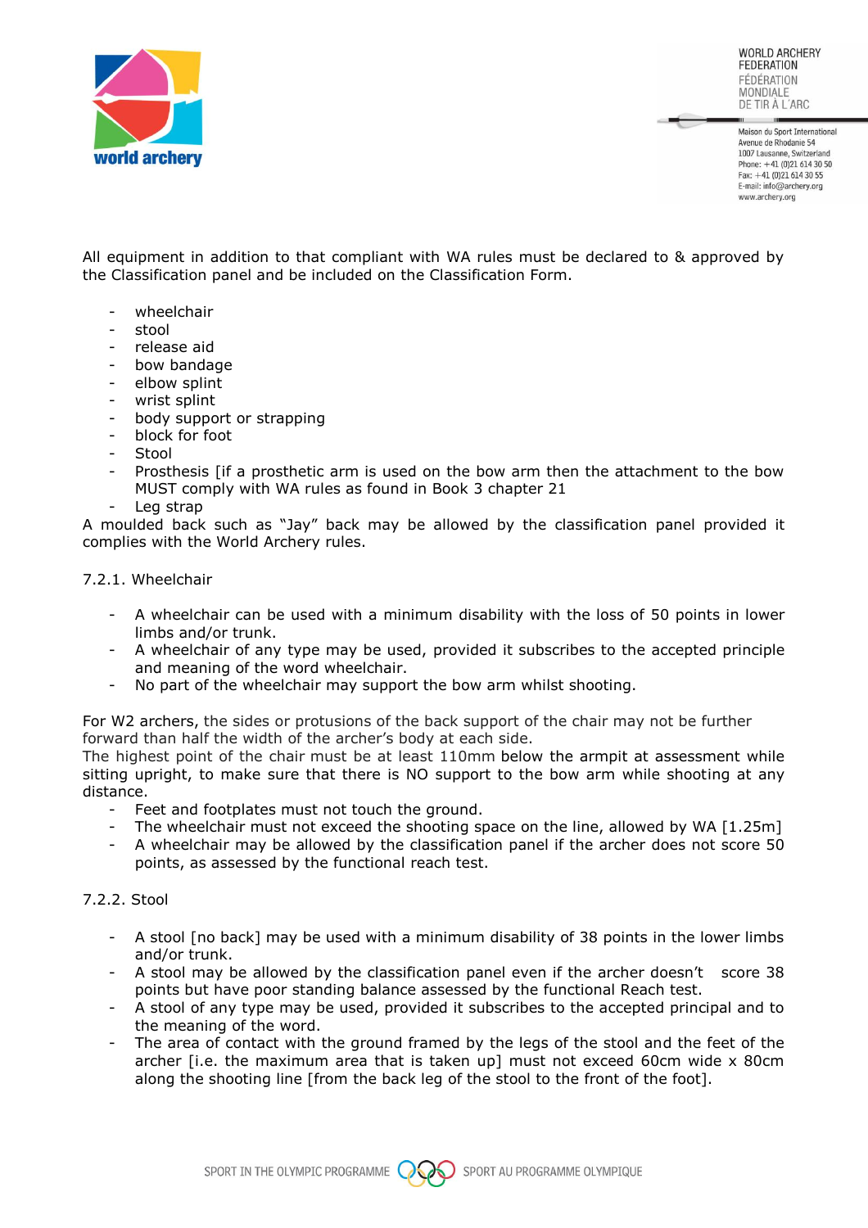

Maison du Sport International Avenue de Rhodanie 54 1007 Lausanne, Switzerland Phone: +41 (0)21 614 30 50 Fax: +41 (0)21 614 30 55 E-mail: info@archery.org www.archerv.org

All equipment in addition to that compliant with WA rules must be declared to & approved by the Classification panel and be included on the Classification Form.

- wheelchair
- stool
- release aid
- bow bandage
- elbow splint
- wrist splint
- body support or strapping
- block for foot
- Stool
- Prosthesis [if a prosthetic arm is used on the bow arm then the attachment to the bow MUST comply with WA rules as found in Book 3 chapter 21
- Leg strap

A moulded back such as "Jay" back may be allowed by the classification panel provided it complies with the World Archery rules.

7.2.1. Wheelchair

- A wheelchair can be used with a minimum disability with the loss of 50 points in lower limbs and/or trunk.
- A wheelchair of any type may be used, provided it subscribes to the accepted principle and meaning of the word wheelchair.
- No part of the wheelchair may support the bow arm whilst shooting.

For W2 archers, the sides or protusions of the back support of the chair may not be further forward than half the width of the archer's body at each side.

The highest point of the chair must be at least 110mm below the armpit at assessment while sitting upright, to make sure that there is NO support to the bow arm while shooting at any distance.

- Feet and footplates must not touch the ground.
- The wheelchair must not exceed the shooting space on the line, allowed by WA [1.25m]
- A wheelchair may be allowed by the classification panel if the archer does not score 50 points, as assessed by the functional reach test.

#### 7.2.2. Stool

- A stool [no back] may be used with a minimum disability of 38 points in the lower limbs and/or trunk.
- A stool may be allowed by the classification panel even if the archer doesn't score 38 points but have poor standing balance assessed by the functional Reach test.
- A stool of any type may be used, provided it subscribes to the accepted principal and to the meaning of the word.
- The area of contact with the ground framed by the legs of the stool and the feet of the archer [i.e. the maximum area that is taken up] must not exceed 60cm wide x 80cm along the shooting line [from the back leg of the stool to the front of the foot].

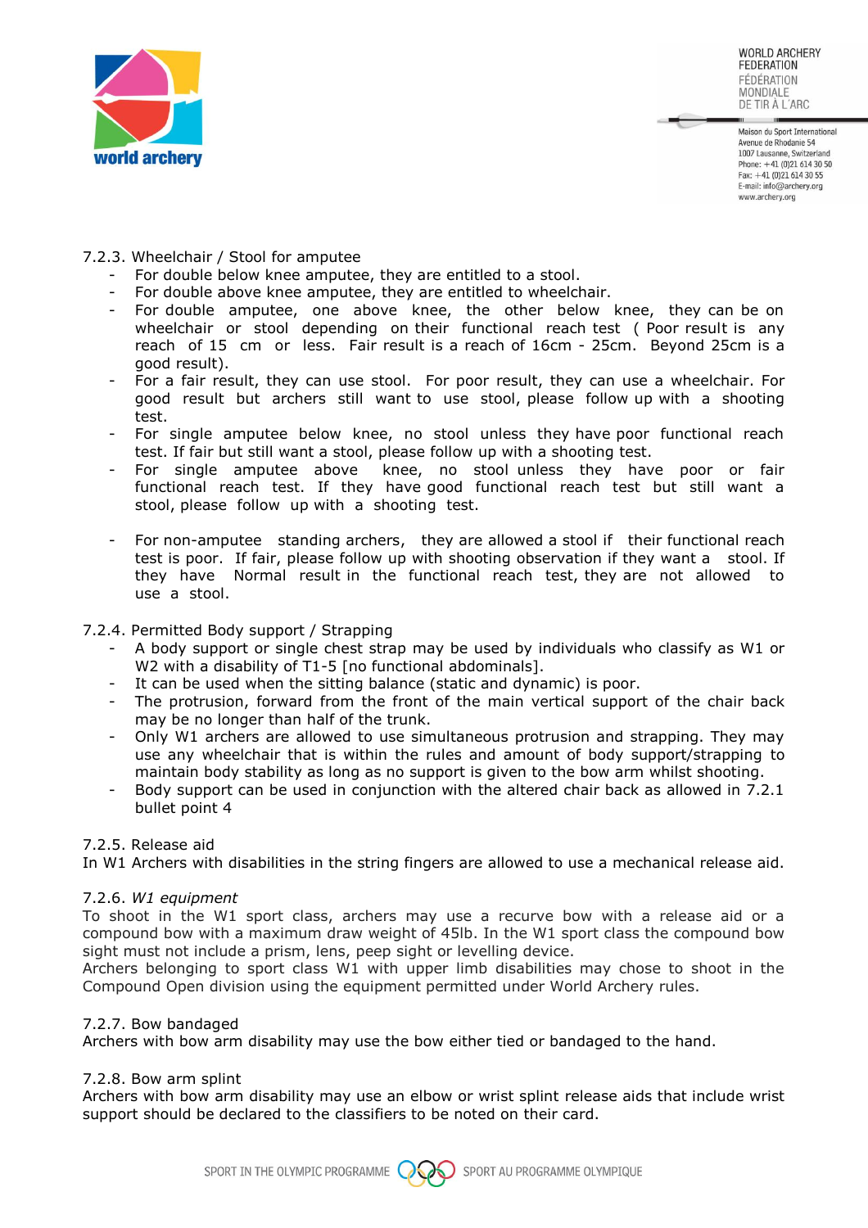

Maison du Sport International Avenue de Rhodanie 54 1007 Lausanne, Switzerland Phone: +41 (0)21 614 30 50 Fax: +41 (0)21 614 30 55 E-mail: info@archery.org www.archerv.org

- 7.2.3. Wheelchair / Stool for amputee
	- For double below knee amputee, they are entitled to a stool.
	- For double above knee amputee, they are entitled to wheelchair.
	- For double amputee, one above knee, the other below knee, they can be on wheelchair or stool depending on their functional reach test (Poor result is any reach of 15 cm or less. Fair result is a reach of 16cm - 25cm. Beyond 25cm is a good result).
	- For a fair result, they can use stool. For poor result, they can use a wheelchair. For good result but archers still want to use stool, please follow up with a shooting test.
	- For single amputee below knee, no stool unless they have poor functional reach test. If fair but still want a stool, please follow up with a shooting test.
	- For single amputee above knee, no stool unless they have poor or fair functional reach test. If they have good functional reach test but still want a stool, please follow up with a shooting test.
	- For non-amputee standing archers, they are allowed a stool if their functional reach test is poor. If fair, please follow up with shooting observation if they want a stool. If they have Normal result in the functional reach test, they are not allowed to use a stool.

# 7.2.4. Permitted Body support / Strapping

- A body support or single chest strap may be used by individuals who classify as W1 or W2 with a disability of T1-5 [no functional abdominals].
- It can be used when the sitting balance (static and dynamic) is poor.
- The protrusion, forward from the front of the main vertical support of the chair back may be no longer than half of the trunk.
- Only W1 archers are allowed to use simultaneous protrusion and strapping. They may use any wheelchair that is within the rules and amount of body support/strapping to maintain body stability as long as no support is given to the bow arm whilst shooting.
- Body support can be used in conjunction with the altered chair back as allowed in 7.2.1 bullet point 4

# 7.2.5. Release aid

In W1 Archers with disabilities in the string fingers are allowed to use a mechanical release aid.

# 7.2.6. *W1 equipment*

To shoot in the W1 sport class, archers may use a recurve bow with a release aid or a compound bow with a maximum draw weight of 45lb. In the W1 sport class the compound bow sight must not include a prism, lens, peep sight or levelling device.

Archers belonging to sport class W1 with upper limb disabilities may chose to shoot in the Compound Open division using the equipment permitted under World Archery rules.

# 7.2.7. Bow bandaged

Archers with bow arm disability may use the bow either tied or bandaged to the hand.

# 7.2.8. Bow arm splint

Archers with bow arm disability may use an elbow or wrist splint release aids that include wrist support should be declared to the classifiers to be noted on their card.

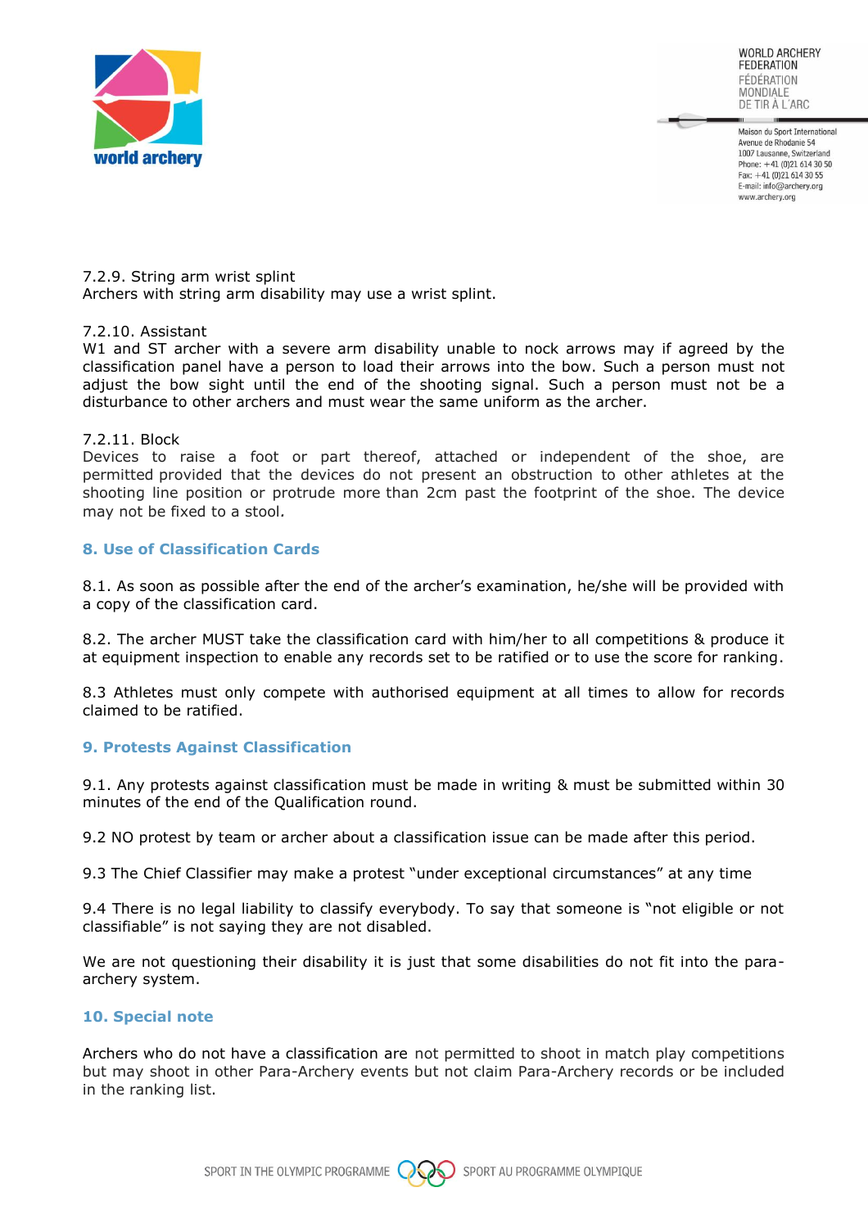

Maison du Sport International Avenue de Rhodanie 54 1007 Lausanne, Switzerland Phone:  $+41(0)216143050$ Fax: +41 (0)21 614 30 55 E-mail: info@archery.org www.archery.org

7.2.9. String arm wrist splint Archers with string arm disability may use a wrist splint.

#### 7.2.10. Assistant

W1 and ST archer with a severe arm disability unable to nock arrows may if agreed by the classification panel have a person to load their arrows into the bow. Such a person must not adjust the bow sight until the end of the shooting signal. Such a person must not be a disturbance to other archers and must wear the same uniform as the archer.

#### 7.2.11. Block

Devices to raise a foot or part thereof, attached or independent of the shoe, are permitted provided that the devices do not present an obstruction to other athletes at the shooting line position or protrude more than 2cm past the footprint of the shoe. The device may not be fixed to a stool*.*

#### **8. Use of Classification Cards**

8.1. As soon as possible after the end of the archer's examination, he/she will be provided with a copy of the classification card.

8.2. The archer MUST take the classification card with him/her to all competitions & produce it at equipment inspection to enable any records set to be ratified or to use the score for ranking.

8.3 Athletes must only compete with authorised equipment at all times to allow for records claimed to be ratified.

#### **9. Protests Against Classification**

9.1. Any protests against classification must be made in writing & must be submitted within 30 minutes of the end of the Qualification round.

9.2 NO protest by team or archer about a classification issue can be made after this period.

9.3 The Chief Classifier may make a protest "under exceptional circumstances" at any time

9.4 There is no legal liability to classify everybody. To say that someone is "not eligible or not classifiable" is not saying they are not disabled.

We are not questioning their disability it is just that some disabilities do not fit into the paraarchery system.

# **10. Special note**

Archers who do not have a classification are not permitted to shoot in match play competitions but may shoot in other Para-Archery events but not claim Para-Archery records or be included in the ranking list.

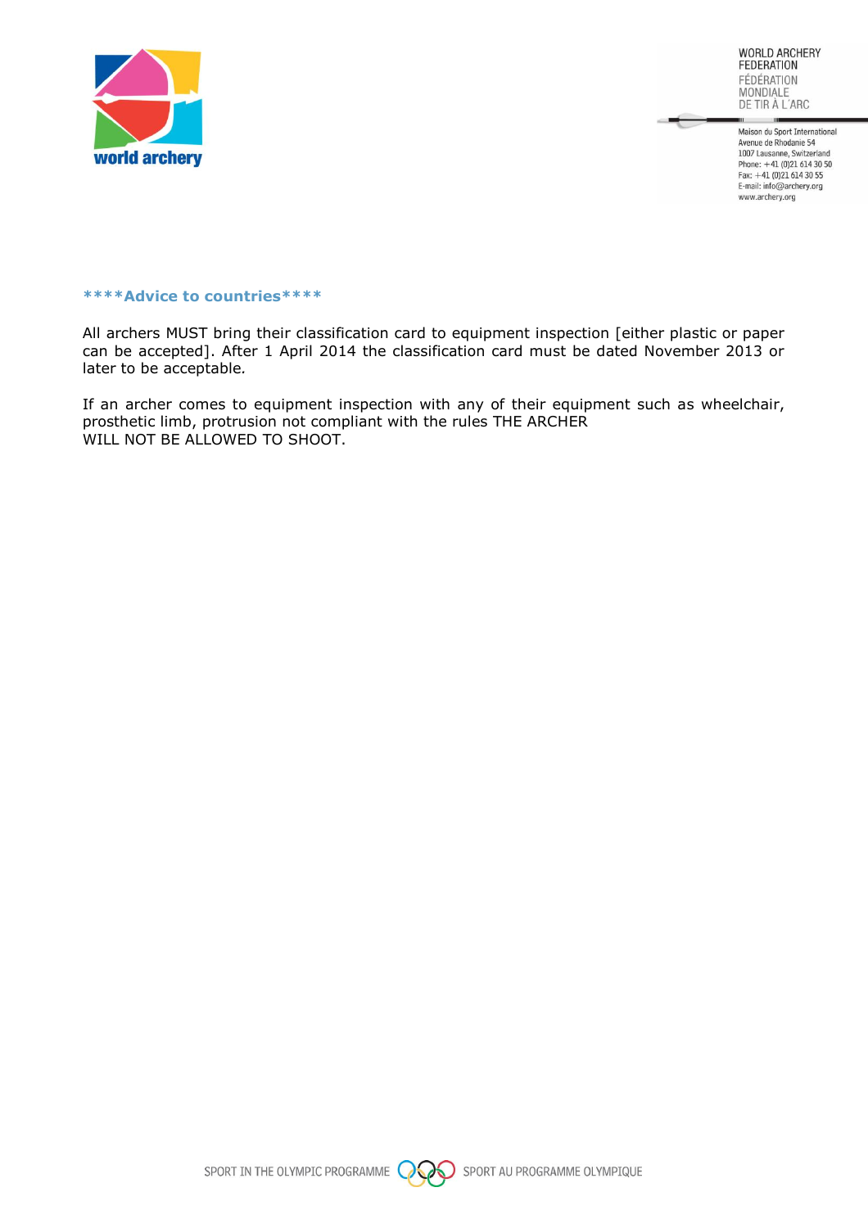

Maison du Sport International Avenue de Rhodanie 54<br>1007 Lausanne, Switzerland Phone:  $+41$  (0)21 614 30 50 Fax: +41 (0)21 614 30 55<br>E-mail: info@archery.org www.archery.org

#### **\*\*\*\*Advice to countries\*\*\*\***

All archers MUST bring their classification card to equipment inspection [either plastic or paper can be accepted]. After 1 April 2014 the classification card must be dated November 2013 or later to be acceptable*.*

If an archer comes to equipment inspection with any of their equipment such as wheelchair, prosthetic limb, protrusion not compliant with the rules THE ARCHER WILL NOT BE ALLOWED TO SHOOT.

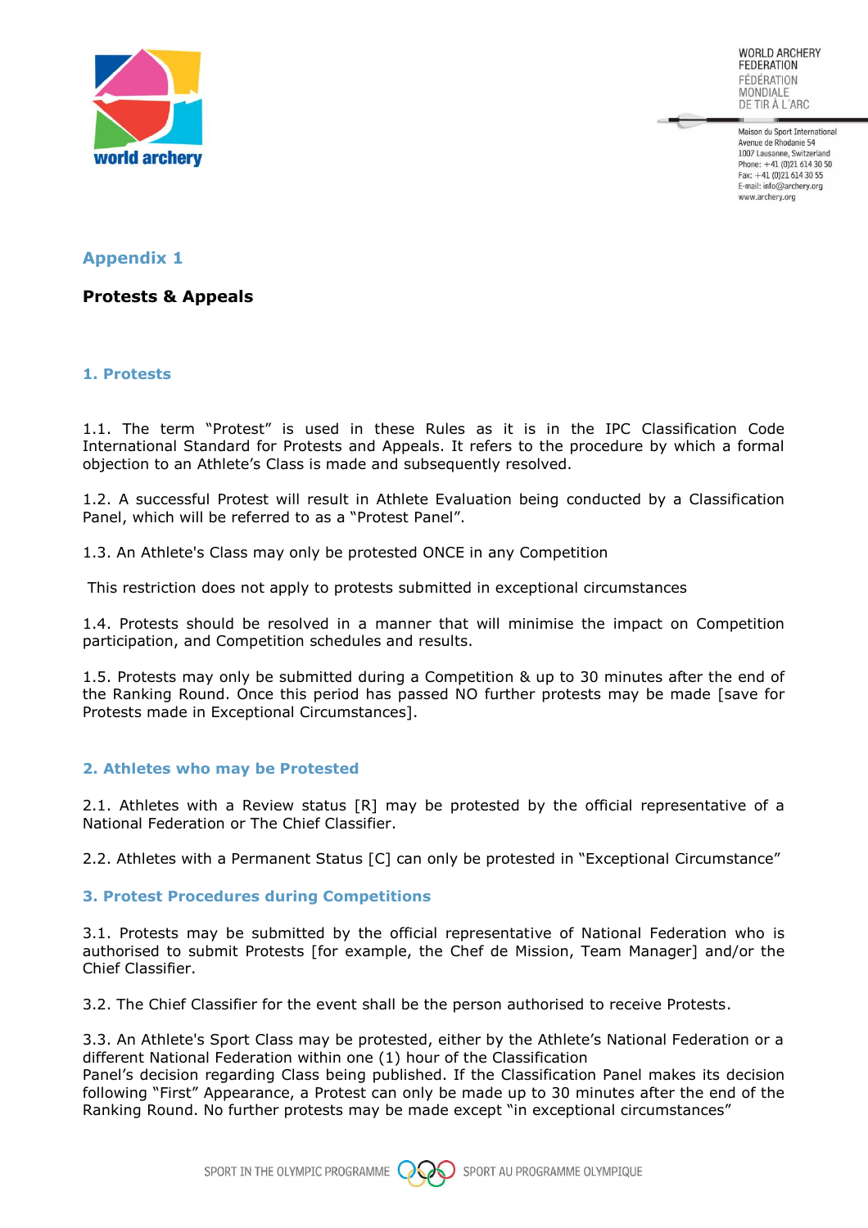

Maison du Sport International Avenue de Rhodanie 54 1007 Lausanne, Switzerland Phone:  $+41(0)216143050$ Fax: +41 (0)21 614 30 55 E-mail: info@archery.org www.archery.org

# **Appendix 1**

**Protests & Appeals** 

# **1. Protests**

1.1. The term "Protest" is used in these Rules as it is in the IPC Classification Code International Standard for Protests and Appeals. It refers to the procedure by which a formal objection to an Athlete's Class is made and subsequently resolved.

1.2. A successful Protest will result in Athlete Evaluation being conducted by a Classification Panel, which will be referred to as a "Protest Panel".

1.3. An Athlete's Class may only be protested ONCE in any Competition

This restriction does not apply to protests submitted in exceptional circumstances

1.4. Protests should be resolved in a manner that will minimise the impact on Competition participation, and Competition schedules and results.

1.5. Protests may only be submitted during a Competition & up to 30 minutes after the end of the Ranking Round. Once this period has passed NO further protests may be made [save for Protests made in Exceptional Circumstances].

# **2. Athletes who may be Protested**

2.1. Athletes with a Review status [R] may be protested by the official representative of a National Federation or The Chief Classifier.

2.2. Athletes with a Permanent Status [C] can only be protested in "Exceptional Circumstance"

# **3. Protest Procedures during Competitions**

3.1. Protests may be submitted by the official representative of National Federation who is authorised to submit Protests [for example, the Chef de Mission, Team Manager] and/or the Chief Classifier.

3.2. The Chief Classifier for the event shall be the person authorised to receive Protests.

3.3. An Athlete's Sport Class may be protested, either by the Athlete's National Federation or a different National Federation within one (1) hour of the Classification

Panel's decision regarding Class being published. If the Classification Panel makes its decision following "First" Appearance, a Protest can only be made up to 30 minutes after the end of the Ranking Round. No further protests may be made except "in exceptional circumstances"

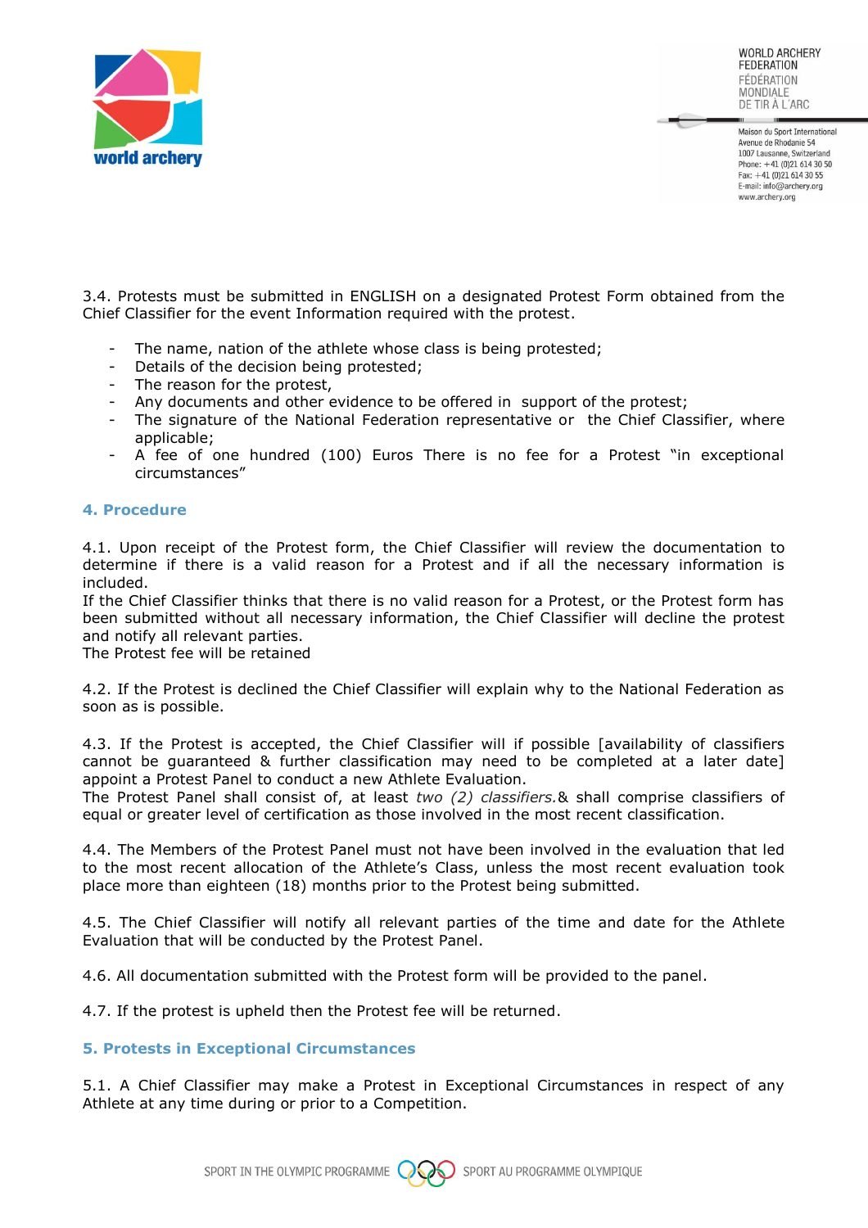

Maison du Sport International Avenue de Rhodanie 54 1007 Lausanne, Switzerland Phone:  $+41(0)216143050$ Fax: +41 (0)21 614 30 55 E-mail: info@archery.org www.archery.org

3.4. Protests must be submitted in ENGLISH on a designated Protest Form obtained from the Chief Classifier for the event Information required with the protest.

- The name, nation of the athlete whose class is being protested;
- Details of the decision being protested;
- The reason for the protest,
- Any documents and other evidence to be offered in support of the protest;
- The signature of the National Federation representative or the Chief Classifier, where applicable;
- A fee of one hundred (100) Euros There is no fee for a Protest "in exceptional circumstances"

# **4. Procedure**

4.1. Upon receipt of the Protest form, the Chief Classifier will review the documentation to determine if there is a valid reason for a Protest and if all the necessary information is included.

If the Chief Classifier thinks that there is no valid reason for a Protest, or the Protest form has been submitted without all necessary information, the Chief Classifier will decline the protest and notify all relevant parties.

The Protest fee will be retained

4.2. If the Protest is declined the Chief Classifier will explain why to the National Federation as soon as is possible.

4.3. If the Protest is accepted, the Chief Classifier will if possible [availability of classifiers cannot be guaranteed & further classification may need to be completed at a later date] appoint a Protest Panel to conduct a new Athlete Evaluation.

The Protest Panel shall consist of, at least *two (2) classifiers.*& shall comprise classifiers of equal or greater level of certification as those involved in the most recent classification.

4.4. The Members of the Protest Panel must not have been involved in the evaluation that led to the most recent allocation of the Athlete's Class, unless the most recent evaluation took place more than eighteen (18) months prior to the Protest being submitted.

4.5. The Chief Classifier will notify all relevant parties of the time and date for the Athlete Evaluation that will be conducted by the Protest Panel.

4.6. All documentation submitted with the Protest form will be provided to the panel.

4.7. If the protest is upheld then the Protest fee will be returned.

#### **5. Protests in Exceptional Circumstances**

5.1. A Chief Classifier may make a Protest in Exceptional Circumstances in respect of any Athlete at any time during or prior to a Competition.

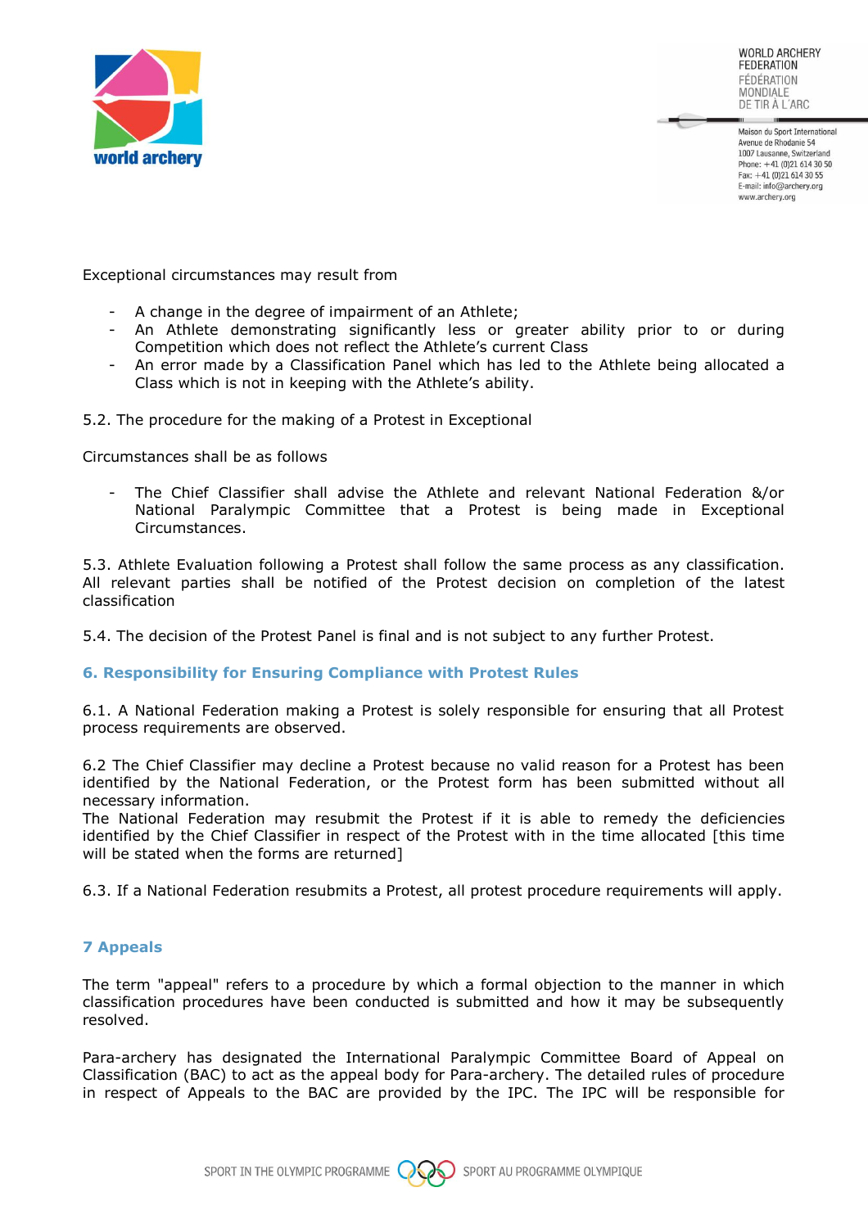

Maison du Sport International Avenue de Rhodanie 54 1007 Lausanne, Switzerland Phone:  $+41(0)216143050$ Fax: +41 (0)21 614 30 55 E-mail: info@archery.org www.archery.org

Exceptional circumstances may result from

- A change in the degree of impairment of an Athlete;
- An Athlete demonstrating significantly less or greater ability prior to or during Competition which does not reflect the Athlete's current Class
- An error made by a Classification Panel which has led to the Athlete being allocated a Class which is not in keeping with the Athlete's ability.

5.2. The procedure for the making of a Protest in Exceptional

Circumstances shall be as follows

The Chief Classifier shall advise the Athlete and relevant National Federation &/or National Paralympic Committee that a Protest is being made in Exceptional Circumstances.

5.3. Athlete Evaluation following a Protest shall follow the same process as any classification. All relevant parties shall be notified of the Protest decision on completion of the latest classification

5.4. The decision of the Protest Panel is final and is not subject to any further Protest.

# **6. Responsibility for Ensuring Compliance with Protest Rules**

6.1. A National Federation making a Protest is solely responsible for ensuring that all Protest process requirements are observed.

6.2 The Chief Classifier may decline a Protest because no valid reason for a Protest has been identified by the National Federation, or the Protest form has been submitted without all necessary information.

The National Federation may resubmit the Protest if it is able to remedy the deficiencies identified by the Chief Classifier in respect of the Protest with in the time allocated [this time will be stated when the forms are returned]

6.3. If a National Federation resubmits a Protest, all protest procedure requirements will apply.

# **7 Appeals**

The term "appeal" refers to a procedure by which a formal objection to the manner in which classification procedures have been conducted is submitted and how it may be subsequently resolved.

Para-archery has designated the International Paralympic Committee Board of Appeal on Classification (BAC) to act as the appeal body for Para-archery. The detailed rules of procedure in respect of Appeals to the BAC are provided by the IPC. The IPC will be responsible for

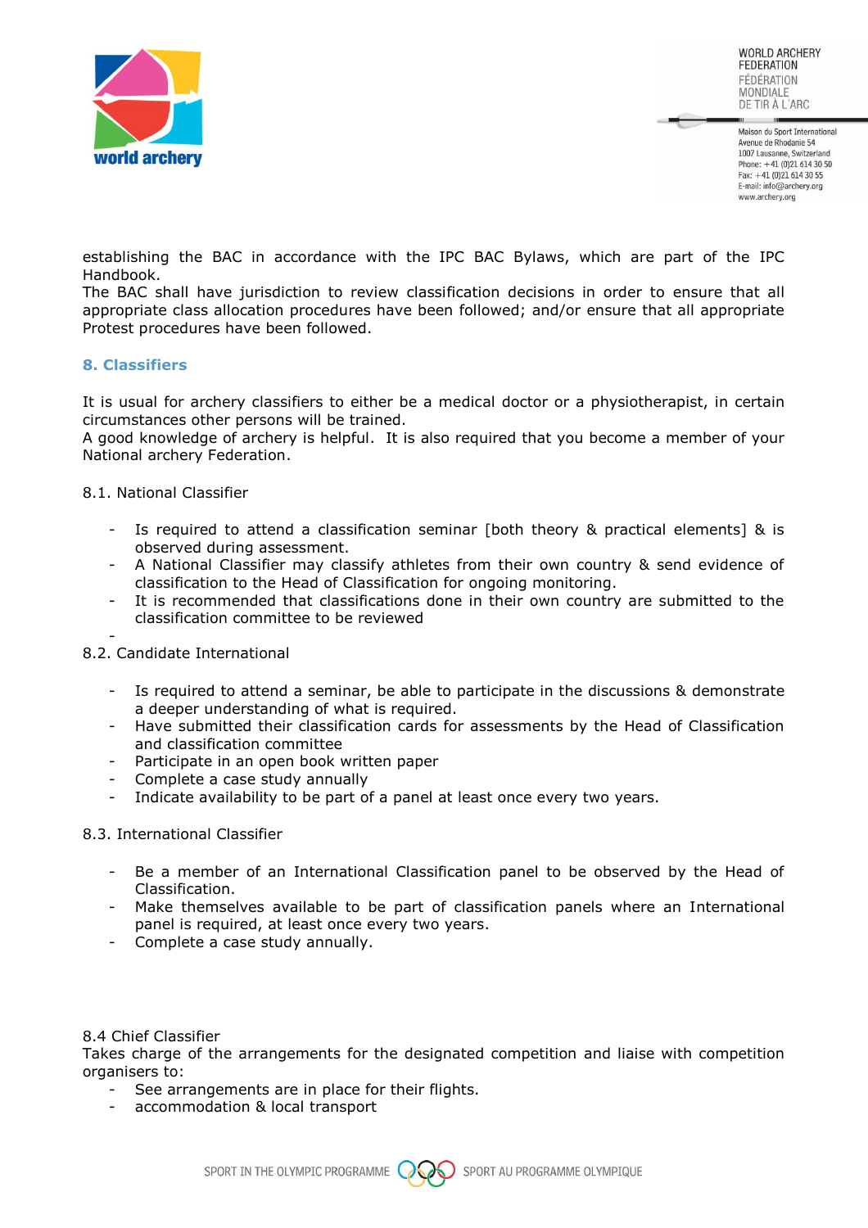

Maison du Sport International Avenue de Rhodanie 54 1007 Lausanne, Switzerland Phone: +41 (0)21 614 30 50 Fax: +41 (0)21 614 30 55 E-mail: info@archery.org www.archerv.org

establishing the BAC in accordance with the IPC BAC Bylaws, which are part of the IPC Handbook.

The BAC shall have jurisdiction to review classification decisions in order to ensure that all appropriate class allocation procedures have been followed; and/or ensure that all appropriate Protest procedures have been followed.

#### **8. Classifiers**

It is usual for archery classifiers to either be a medical doctor or a physiotherapist, in certain circumstances other persons will be trained.

A good knowledge of archery is helpful. It is also required that you become a member of your National archery Federation.

#### 8.1. National Classifier

- Is required to attend a classification seminar [both theory & practical elements] & is observed during assessment.
- A National Classifier may classify athletes from their own country & send evidence of classification to the Head of Classification for ongoing monitoring.
- It is recommended that classifications done in their own country are submitted to the classification committee to be reviewed

-

#### 8.2. Candidate International

- Is required to attend a seminar, be able to participate in the discussions & demonstrate a deeper understanding of what is required.
- Have submitted their classification cards for assessments by the Head of Classification and classification committee
- Participate in an open book written paper
- Complete a case study annually
- Indicate availability to be part of a panel at least once every two years.

#### 8.3. International Classifier

- Be a member of an International Classification panel to be observed by the Head of Classification.
- Make themselves available to be part of classification panels where an International panel is required, at least once every two years.
- Complete a case study annually.

#### 8.4 Chief Classifier

Takes charge of the arrangements for the designated competition and liaise with competition organisers to:

- See arrangements are in place for their flights.
- accommodation & local transport

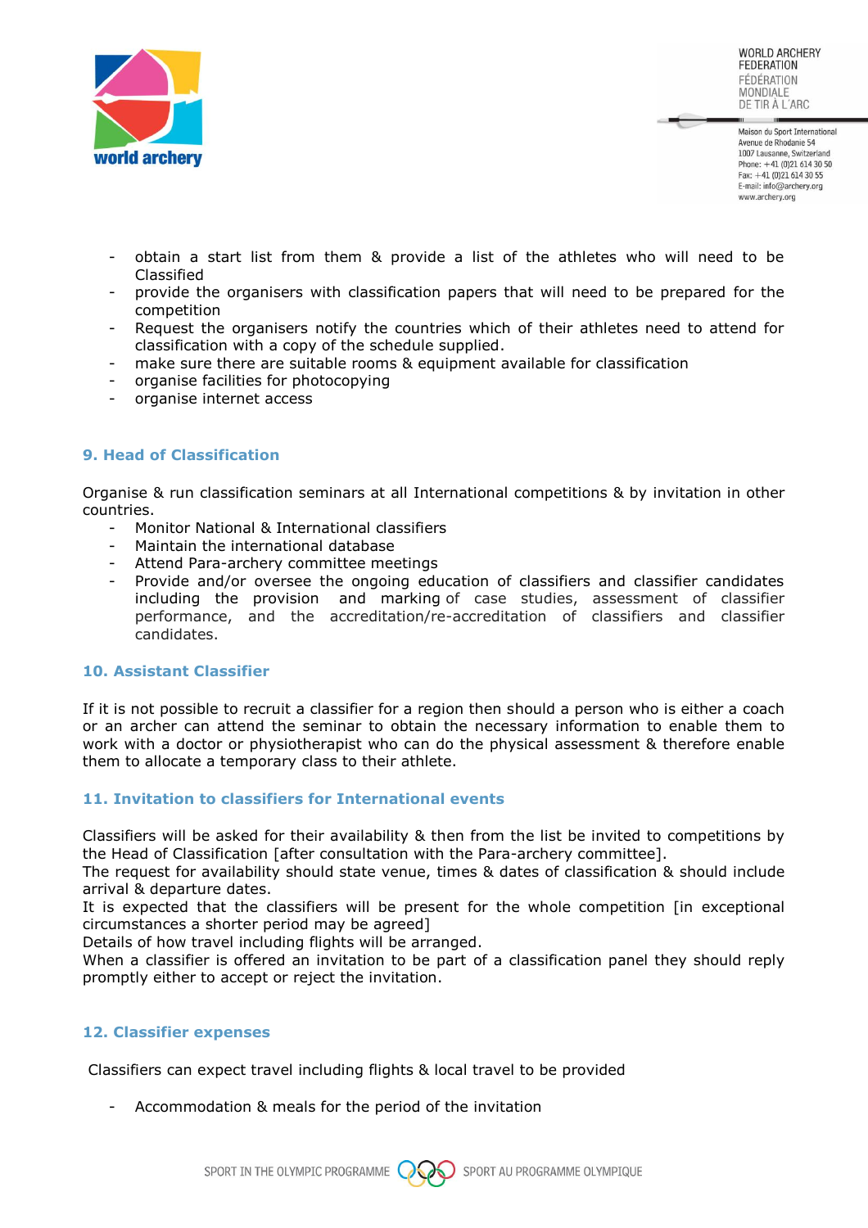

Maison du Sport International Avenue de Rhodanie 54 1007 Lausanne, Switzerland Phone:  $+41(0)216143050$ Fax: +41 (0)21 614 30 55 E-mail: info@archery.org www.archerv.org

- obtain a start list from them & provide a list of the athletes who will need to be Classified
- provide the organisers with classification papers that will need to be prepared for the competition
- Request the organisers notify the countries which of their athletes need to attend for classification with a copy of the schedule supplied.
- make sure there are suitable rooms & equipment available for classification
- organise facilities for photocopying
- organise internet access

# **9. Head of Classification**

Organise & run classification seminars at all International competitions & by invitation in other countries.

- Monitor National & International classifiers
- Maintain the international database
- Attend Para-archery committee meetings
- Provide and/or oversee the ongoing education of classifiers and classifier candidates including the provision and marking of case studies, assessment of classifier performance, and the accreditation/re-accreditation of classifiers and classifier candidates.

#### **10. Assistant Classifier**

If it is not possible to recruit a classifier for a region then should a person who is either a coach or an archer can attend the seminar to obtain the necessary information to enable them to work with a doctor or physiotherapist who can do the physical assessment & therefore enable them to allocate a temporary class to their athlete.

# **11. Invitation to classifiers for International events**

Classifiers will be asked for their availability & then from the list be invited to competitions by the Head of Classification [after consultation with the Para-archery committee].

The request for availability should state venue, times & dates of classification & should include arrival & departure dates.

It is expected that the classifiers will be present for the whole competition [in exceptional circumstances a shorter period may be agreed]

Details of how travel including flights will be arranged.

When a classifier is offered an invitation to be part of a classification panel they should reply promptly either to accept or reject the invitation.

#### **12. Classifier expenses**

Classifiers can expect travel including flights & local travel to be provided

Accommodation & meals for the period of the invitation